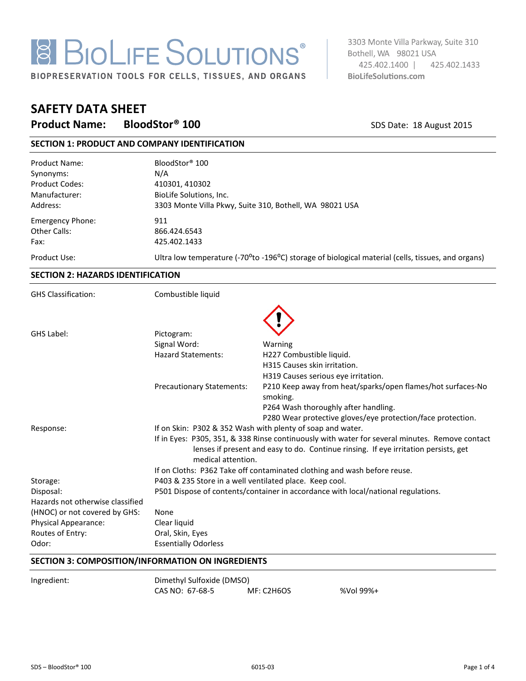# **8 BIOLIFE SOLUTIONS®**

BIOPRESERVATION TOOLS FOR CELLS, TISSUES, AND ORGANS

3303 Monte Villa Parkway, Suite 310 Bothell, WA 98021 USA 425.402.1400 | 425.402.1433 **BioLifeSolutions.com** 

## **SAFETY DATA SHEET**

**Product Name: BloodStor<sup>®</sup> 100** SDS Date: 18 August 2015

### **SECTION 1: PRODUCT AND COMPANY IDENTIFICATION**

| <b>Product Name:</b>  | BloodStor <sup>®</sup> 100                                                                                                  |
|-----------------------|-----------------------------------------------------------------------------------------------------------------------------|
| Synonyms:             | N/A                                                                                                                         |
| <b>Product Codes:</b> | 410301, 410302                                                                                                              |
| Manufacturer:         | BioLife Solutions, Inc.                                                                                                     |
| Address:              | 3303 Monte Villa Pkwy, Suite 310, Bothell, WA 98021 USA                                                                     |
| Emergency Phone:      | 911                                                                                                                         |
| Other Calls:          | 866.424.6543                                                                                                                |
| Fax:                  | 425.402.1433                                                                                                                |
| Product Use:          | Ultra low temperature (-70 <sup>o</sup> to -196 <sup>o</sup> C) storage of biological material (cells, tissues, and organs) |

#### **SECTION 2: HAZARDS IDENTIFICATION**

| <b>GHS Classification:</b>       | Combustible liquid                                                                |                                                                                                                                                                                       |  |
|----------------------------------|-----------------------------------------------------------------------------------|---------------------------------------------------------------------------------------------------------------------------------------------------------------------------------------|--|
|                                  |                                                                                   |                                                                                                                                                                                       |  |
| GHS Label:                       | Pictogram:                                                                        |                                                                                                                                                                                       |  |
|                                  | Signal Word:                                                                      | Warning                                                                                                                                                                               |  |
|                                  | <b>Hazard Statements:</b>                                                         | H227 Combustible liquid.                                                                                                                                                              |  |
|                                  |                                                                                   | H315 Causes skin irritation.                                                                                                                                                          |  |
|                                  |                                                                                   | H319 Causes serious eye irritation.                                                                                                                                                   |  |
|                                  | <b>Precautionary Statements:</b>                                                  | P210 Keep away from heat/sparks/open flames/hot surfaces-No<br>smoking.                                                                                                               |  |
|                                  |                                                                                   | P264 Wash thoroughly after handling.                                                                                                                                                  |  |
|                                  |                                                                                   | P280 Wear protective gloves/eye protection/face protection.                                                                                                                           |  |
| Response:                        | If on Skin: P302 & 352 Wash with plenty of soap and water.                        |                                                                                                                                                                                       |  |
| medical attention.               |                                                                                   | If in Eyes: P305, 351, & 338 Rinse continuously with water for several minutes. Remove contact<br>lenses if present and easy to do. Continue rinsing. If eye irritation persists, get |  |
|                                  | If on Cloths: P362 Take off contaminated clothing and wash before reuse.          |                                                                                                                                                                                       |  |
| Storage:                         | P403 & 235 Store in a well ventilated place. Keep cool.                           |                                                                                                                                                                                       |  |
| Disposal:                        | P501 Dispose of contents/container in accordance with local/national regulations. |                                                                                                                                                                                       |  |
| Hazards not otherwise classified |                                                                                   |                                                                                                                                                                                       |  |
| (HNOC) or not covered by GHS:    | None                                                                              |                                                                                                                                                                                       |  |
| Physical Appearance:             | Clear liquid                                                                      |                                                                                                                                                                                       |  |
| Routes of Entry:                 | Oral, Skin, Eyes                                                                  |                                                                                                                                                                                       |  |
| Odor:                            | <b>Essentially Odorless</b>                                                       |                                                                                                                                                                                       |  |

#### **SECTION 3: COMPOSITION/INFORMATION ON INGREDIENTS**

Ingredient: Dimethyl Sulfoxide (DMSO) CAS NO: 67-68-5 MF: C2H6OS %Vol 99%+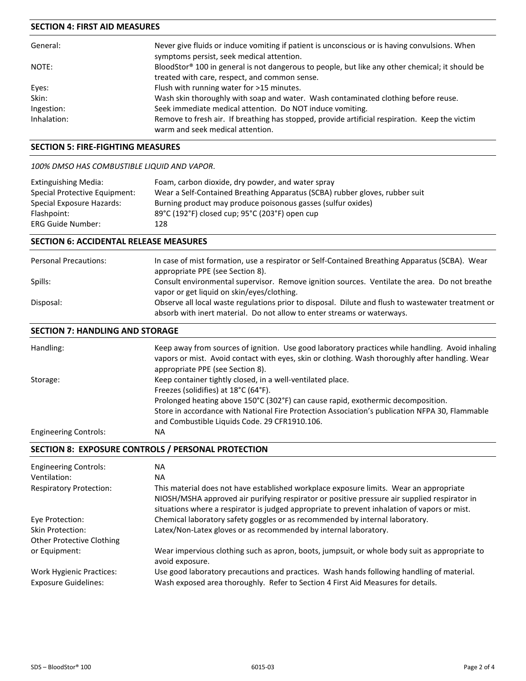#### **SECTION 4: FIRST AID MEASURES**

| General:    | Never give fluids or induce vomiting if patient is unconscious or is having convulsions. When<br>symptoms persist, seek medical attention.       |
|-------------|--------------------------------------------------------------------------------------------------------------------------------------------------|
| NOTE:       | BloodStor® 100 in general is not dangerous to people, but like any other chemical; it should be<br>treated with care, respect, and common sense. |
| Eyes:       | Flush with running water for >15 minutes.                                                                                                        |
| Skin:       | Wash skin thoroughly with soap and water. Wash contaminated clothing before reuse.                                                               |
| Ingestion:  | Seek immediate medical attention. Do NOT induce vomiting.                                                                                        |
| Inhalation: | Remove to fresh air. If breathing has stopped, provide artificial respiration. Keep the victim<br>warm and seek medical attention.               |

#### **SECTION 5: FIRE-FIGHTING MEASURES**

#### *100% DMSO HAS COMBUSTIBLE LIQUID AND VAPOR*.

| Extinguishing Media:          | Foam, carbon dioxide, dry powder, and water spray                           |
|-------------------------------|-----------------------------------------------------------------------------|
| Special Protective Equipment: | Wear a Self-Contained Breathing Apparatus (SCBA) rubber gloves, rubber suit |
| Special Exposure Hazards:     | Burning product may produce poisonous gasses (sulfur oxides)                |
| Flashpoint:                   | 89°C (192°F) closed cup; 95°C (203°F) open cup                              |
| <b>ERG Guide Number:</b>      | 128                                                                         |
|                               |                                                                             |

#### **SECTION 6: ACCIDENTAL RELEASE MEASURES**

| <b>Personal Precautions:</b> | In case of mist formation, use a respirator or Self-Contained Breathing Apparatus (SCBA). Wear<br>appropriate PPE (see Section 8).                                            |
|------------------------------|-------------------------------------------------------------------------------------------------------------------------------------------------------------------------------|
| Spills:                      | Consult environmental supervisor. Remove ignition sources. Ventilate the area. Do not breathe<br>vapor or get liquid on skin/eyes/clothing.                                   |
| Disposal:                    | Observe all local waste regulations prior to disposal. Dilute and flush to wastewater treatment or<br>absorb with inert material. Do not allow to enter streams or waterways. |

#### **SECTION 7: HANDLING AND STORAGE**

| Handling:                    | Keep away from sources of ignition. Use good laboratory practices while handling. Avoid inhaling<br>vapors or mist. Avoid contact with eyes, skin or clothing. Wash thoroughly after handling. Wear<br>appropriate PPE (see Section 8). |
|------------------------------|-----------------------------------------------------------------------------------------------------------------------------------------------------------------------------------------------------------------------------------------|
| Storage:                     | Keep container tightly closed, in a well-ventilated place.<br>Freezes (solidifies) at 18°C (64°F).                                                                                                                                      |
|                              | Prolonged heating above 150°C (302°F) can cause rapid, exothermic decomposition.<br>Store in accordance with National Fire Protection Association's publication NFPA 30, Flammable                                                      |
|                              | and Combustible Liquids Code. 29 CFR1910.106.                                                                                                                                                                                           |
| <b>Engineering Controls:</b> | <b>NA</b>                                                                                                                                                                                                                               |

#### **SECTION 8: EXPOSURE CONTROLS / PERSONAL PROTECTION**

| <b>Engineering Controls:</b><br>Ventilation:            | ΝA<br><b>NA</b>                                                                                                                                                                                                                                                                        |
|---------------------------------------------------------|----------------------------------------------------------------------------------------------------------------------------------------------------------------------------------------------------------------------------------------------------------------------------------------|
| <b>Respiratory Protection:</b>                          | This material does not have established workplace exposure limits. Wear an appropriate<br>NIOSH/MSHA approved air purifying respirator or positive pressure air supplied respirator in<br>situations where a respirator is judged appropriate to prevent inhalation of vapors or mist. |
| Eye Protection:                                         | Chemical laboratory safety goggles or as recommended by internal laboratory.                                                                                                                                                                                                           |
| Skin Protection:                                        | Latex/Non-Latex gloves or as recommended by internal laboratory.                                                                                                                                                                                                                       |
| Other Protective Clothing                               |                                                                                                                                                                                                                                                                                        |
| or Equipment:                                           | Wear impervious clothing such as apron, boots, jumpsuit, or whole body suit as appropriate to<br>avoid exposure.                                                                                                                                                                       |
| Work Hygienic Practices:<br><b>Exposure Guidelines:</b> | Use good laboratory precautions and practices. Wash hands following handling of material.<br>Wash exposed area thoroughly. Refer to Section 4 First Aid Measures for details.                                                                                                          |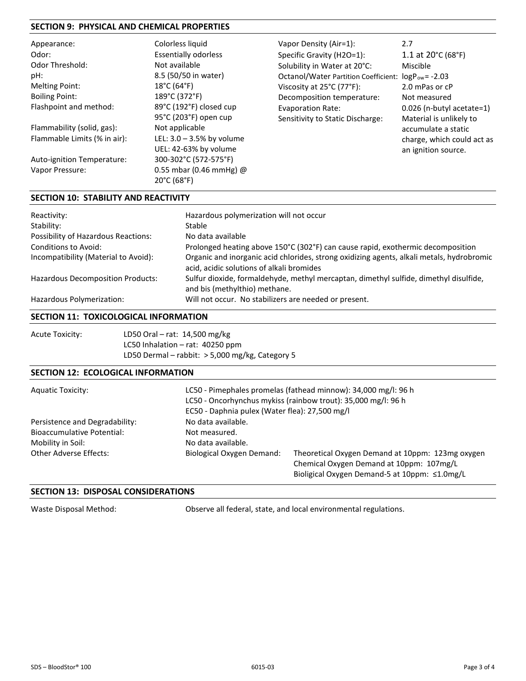#### **SECTION 9: PHYSICAL AND CHEMICAL PROPERTIES**

| Appearance:                  | Colorless liquid                 | Vapor Density (Air=1):                                          | 2.7                                     |
|------------------------------|----------------------------------|-----------------------------------------------------------------|-----------------------------------------|
| Odor:                        | <b>Essentially odorless</b>      | Specific Gravity (H2O=1):                                       | 1.1 at $20^{\circ}$ C (68 $^{\circ}$ F) |
| <b>Odor Threshold:</b>       | Not available                    | Solubility in Water at 20°C:                                    | Miscible                                |
| pH:                          | 8.5 (50/50 in water)             | Octanol/Water Partition Coefficient: logP <sub>ow</sub> = -2.03 |                                         |
| <b>Melting Point:</b>        | $18^{\circ}$ C (64 $^{\circ}$ F) | Viscosity at $25^{\circ}$ C (77 $^{\circ}$ F):                  | 2.0 mPas or cP                          |
| <b>Boiling Point:</b>        | 189°C (372°F)                    | Decomposition temperature:                                      | Not measured                            |
| Flashpoint and method:       | 89°C (192°F) closed cup          | <b>Evaporation Rate:</b>                                        | 0.026 (n-butyl acetate=1)               |
|                              | 95°C (203°F) open cup            | Sensitivity to Static Discharge:                                | Material is unlikely to                 |
| Flammability (solid, gas):   | Not applicable                   |                                                                 | accumulate a static                     |
| Flammable Limits (% in air): | LEL: $3.0 - 3.5%$ by volume      |                                                                 | charge, which could act as              |
|                              | UEL: 42-63% by volume            |                                                                 | an ignition source.                     |
| Auto-ignition Temperature:   | 300-302°C (572-575°F)            |                                                                 |                                         |
| Vapor Pressure:              | 0.55 mbar (0.46 mmHg) $@$        |                                                                 |                                         |
|                              | 20°C (68°F)                      |                                                                 |                                         |

#### **SECTION 10: STABILITY AND REACTIVITY**

| Reactivity:                                | Hazardous polymerization will not occur                                                                                                |
|--------------------------------------------|----------------------------------------------------------------------------------------------------------------------------------------|
| Stability:                                 | Stable                                                                                                                                 |
| <b>Possibility of Hazardous Reactions:</b> | No data available                                                                                                                      |
| Conditions to Avoid:                       | Prolonged heating above 150°C (302°F) can cause rapid, exothermic decomposition                                                        |
| Incompatibility (Material to Avoid):       | Organic and inorganic acid chlorides, strong oxidizing agents, alkali metals, hydrobromic<br>acid, acidic solutions of alkali bromides |
| <b>Hazardous Decomposition Products:</b>   | Sulfur dioxide, formaldehyde, methyl mercaptan, dimethyl sulfide, dimethyl disulfide,<br>and bis (methylthio) methane.                 |
| Hazardous Polymerization:                  | Will not occur. No stabilizers are needed or present.                                                                                  |

#### **SECTION 11: TOXICOLOGICAL INFORMATION**

| Acute Toxicity: | LD50 Oral – rat: 14,500 mg/kg                     |
|-----------------|---------------------------------------------------|
|                 | LC50 Inhalation $-$ rat: 40250 ppm                |
|                 | LD50 Dermal – rabbit: $>$ 5,000 mg/kg, Category 5 |

#### **SECTION 12: ECOLOGICAL INFORMATION**

| <b>Aquatic Toxicity:</b>                                                                 | LC50 - Pimephales promelas (fathead minnow): 34,000 mg/l: 96 h<br>LC50 - Oncorhynchus mykiss (rainbow trout): 35,000 mg/l: 96 h<br>EC50 - Daphnia pulex (Water flea): 27,500 mg/l |                                                                                                                                               |  |
|------------------------------------------------------------------------------------------|-----------------------------------------------------------------------------------------------------------------------------------------------------------------------------------|-----------------------------------------------------------------------------------------------------------------------------------------------|--|
| Persistence and Degradability:<br><b>Bioaccumulative Potential:</b><br>Mobility in Soil: | No data available.<br>Not measured.<br>No data available.                                                                                                                         |                                                                                                                                               |  |
| Other Adverse Effects:                                                                   | Biological Oxygen Demand:                                                                                                                                                         | Theoretical Oxygen Demand at 10ppm: 123mg oxygen<br>Chemical Oxygen Demand at 10ppm: 107mg/L<br>Bioligical Oxygen Demand-5 at 10ppm: ≤1.0mg/L |  |

#### **SECTION 13: DISPOSAL CONSIDERATIONS**

Waste Disposal Method: **Observe all federal, state, and local environmental regulations.**